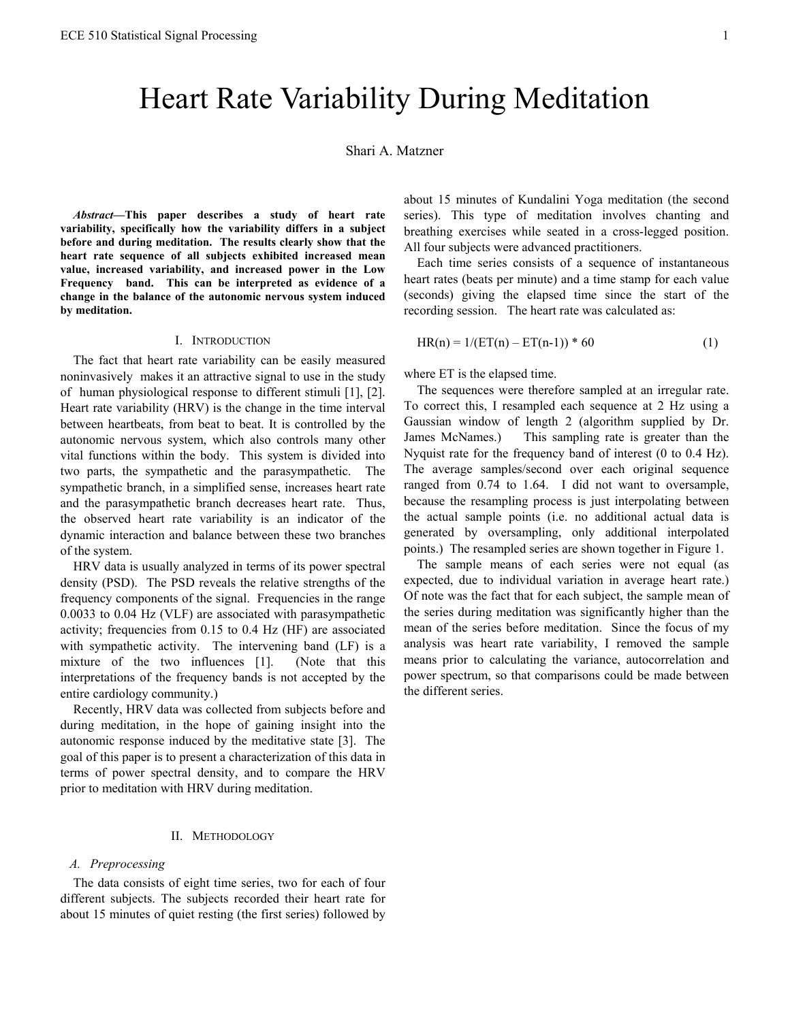# Heart Rate Variability During Meditation

## Shari A. Matzner

*Abstract***—This paper describes a study of heart rate variability, specifically how the variability differs in a subject before and during meditation. The results clearly show that the heart rate sequence of all subjects exhibited increased mean value, increased variability, and increased power in the Low Frequency band. This can be interpreted as evidence of a change in the balance of the autonomic nervous system induced by meditation.** 

### I. INTRODUCTION

The fact that heart rate variability can be easily measured noninvasively makes it an attractive signal to use in the study of human physiological response to different stimuli [1], [2]. Heart rate variability (HRV) is the change in the time interval between heartbeats, from beat to beat. It is controlled by the autonomic nervous system, which also controls many other vital functions within the body. This system is divided into two parts, the sympathetic and the parasympathetic. The sympathetic branch, in a simplified sense, increases heart rate and the parasympathetic branch decreases heart rate. Thus, the observed heart rate variability is an indicator of the dynamic interaction and balance between these two branches of the system.

HRV data is usually analyzed in terms of its power spectral density (PSD). The PSD reveals the relative strengths of the frequency components of the signal. Frequencies in the range 0.0033 to 0.04 Hz (VLF) are associated with parasympathetic activity; frequencies from 0.15 to 0.4 Hz (HF) are associated with sympathetic activity. The intervening band (LF) is a mixture of the two influences [1]. (Note that this interpretations of the frequency bands is not accepted by the entire cardiology community.)

Recently, HRV data was collected from subjects before and during meditation, in the hope of gaining insight into the autonomic response induced by the meditative state [3]. The goal of this paper is to present a characterization of this data in terms of power spectral density, and to compare the HRV prior to meditation with HRV during meditation.

## II. METHODOLOGY

## *A. Preprocessing*

The data consists of eight time series, two for each of four different subjects. The subjects recorded their heart rate for about 15 minutes of quiet resting (the first series) followed by about 15 minutes of Kundalini Yoga meditation (the second series). This type of meditation involves chanting and breathing exercises while seated in a cross-legged position. All four subjects were advanced practitioners.

Each time series consists of a sequence of instantaneous heart rates (beats per minute) and a time stamp for each value (seconds) giving the elapsed time since the start of the recording session. The heart rate was calculated as:

$$
HR(n) = 1/(ET(n) - ET(n-1)) * 60
$$
 (1)

where ET is the elapsed time.

The sequences were therefore sampled at an irregular rate. To correct this, I resampled each sequence at 2 Hz using a Gaussian window of length 2 (algorithm supplied by Dr. James McNames.) This sampling rate is greater than the Nyquist rate for the frequency band of interest (0 to 0.4 Hz). The average samples/second over each original sequence ranged from 0.74 to 1.64. I did not want to oversample, because the resampling process is just interpolating between the actual sample points (i.e. no additional actual data is generated by oversampling, only additional interpolated points.) The resampled series are shown together in Figure 1.

The sample means of each series were not equal (as expected, due to individual variation in average heart rate.) Of note was the fact that for each subject, the sample mean of the series during meditation was significantly higher than the mean of the series before meditation. Since the focus of my analysis was heart rate variability, I removed the sample means prior to calculating the variance, autocorrelation and power spectrum, so that comparisons could be made between the different series.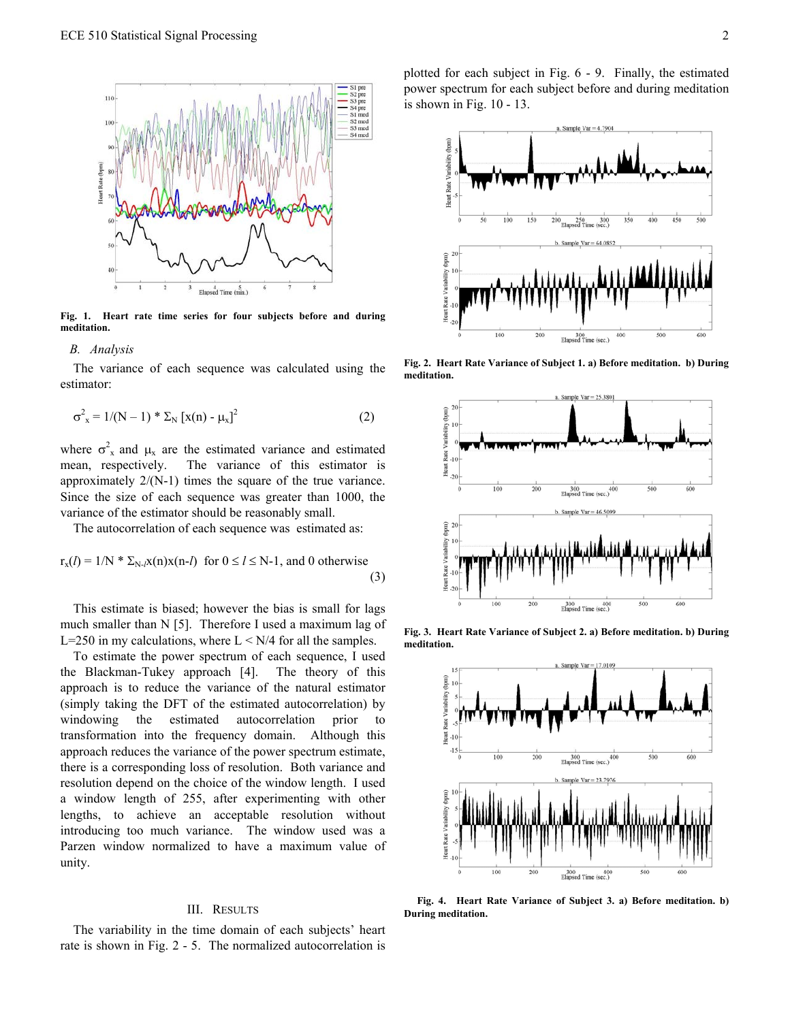

**Fig. 1. Heart rate time series for four subjects before and during meditation.** 

#### *B. Analysis*

The variance of each sequence was calculated using the estimator:

$$
\sigma_x^2 = 1/(N-1) * \Sigma_N [x(n) - \mu_x]^2
$$
 (2)

where  $\sigma_x^2$  and  $\mu_x$  are the estimated variance and estimated mean, respectively. The variance of this estimator is approximately 2/(N-1) times the square of the true variance. Since the size of each sequence was greater than 1000, the variance of the estimator should be reasonably small.

The autocorrelation of each sequence was estimated as:

$$
r_x(l) = 1/N * \Sigma_{N-l}x(n)x(n-l) \text{ for } 0 \le l \le N-1, \text{ and } 0 \text{ otherwise}
$$
\n(3)

This estimate is biased; however the bias is small for lags much smaller than N [5]. Therefore I used a maximum lag of L=250 in my calculations, where  $L < N/4$  for all the samples.

To estimate the power spectrum of each sequence, I used the Blackman-Tukey approach [4]. The theory of this approach is to reduce the variance of the natural estimator (simply taking the DFT of the estimated autocorrelation) by windowing the estimated autocorrelation prior to transformation into the frequency domain. Although this approach reduces the variance of the power spectrum estimate, there is a corresponding loss of resolution. Both variance and resolution depend on the choice of the window length. I used a window length of 255, after experimenting with other lengths, to achieve an acceptable resolution without introducing too much variance. The window used was a Parzen window normalized to have a maximum value of unity.

#### III. RESULTS

The variability in the time domain of each subjects' heart rate is shown in Fig. 2 - 5. The normalized autocorrelation is plotted for each subject in Fig. 6 - 9. Finally, the estimated power spectrum for each subject before and during meditation is shown in Fig. 10 - 13.



**Fig. 2. Heart Rate Variance of Subject 1. a) Before meditation. b) During meditation.** 



**Fig. 3. Heart Rate Variance of Subject 2. a) Before meditation. b) During meditation.** 



**Fig. 4. Heart Rate Variance of Subject 3. a) Before meditation. b) During meditation.**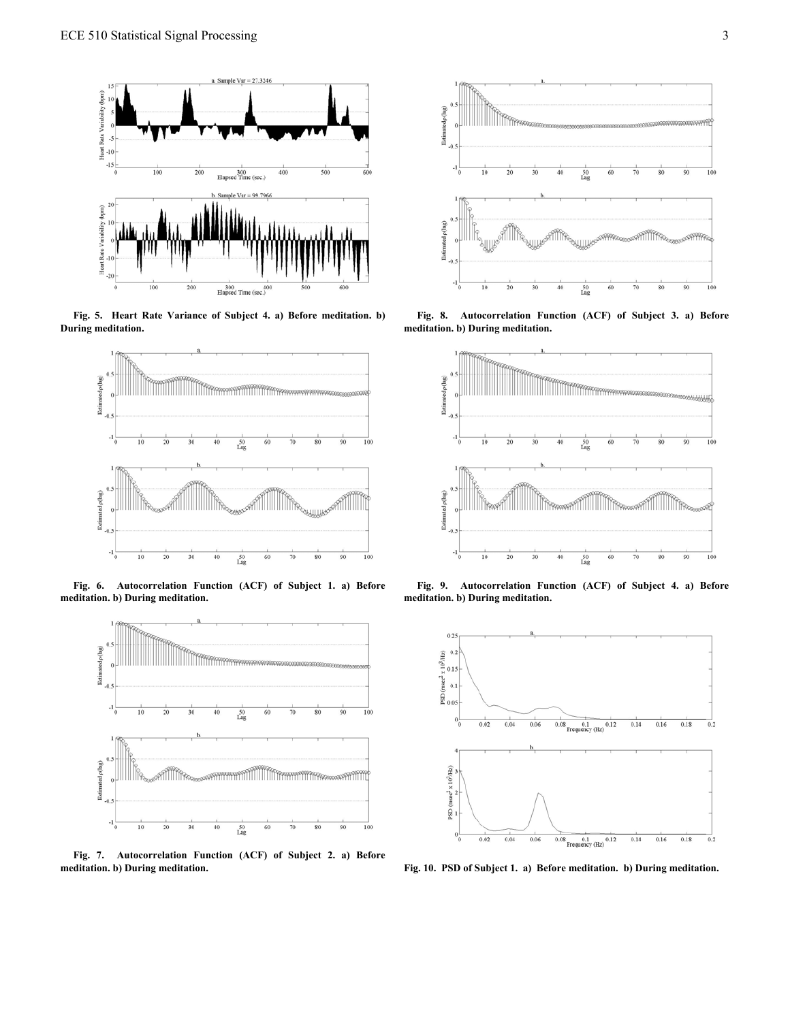

**Fig. 5. Heart Rate Variance of Subject 4. a) Before meditation. b) During meditation.** 



**Fig. 6. Autocorrelation Function (ACF) of Subject 1. a) Before meditation. b) During meditation.** 



**Fig. 7. Autocorrelation Function (ACF) of Subject 2. a) Before meditation. b) During meditation. Fig. 10. PSD of Subject 1. a) Before meditation. b) During meditation.** 



**Fig. 8. Autocorrelation Function (ACF) of Subject 3. a) Before meditation. b) During meditation.** 



**Fig. 9. Autocorrelation Function (ACF) of Subject 4. a) Before meditation. b) During meditation.**